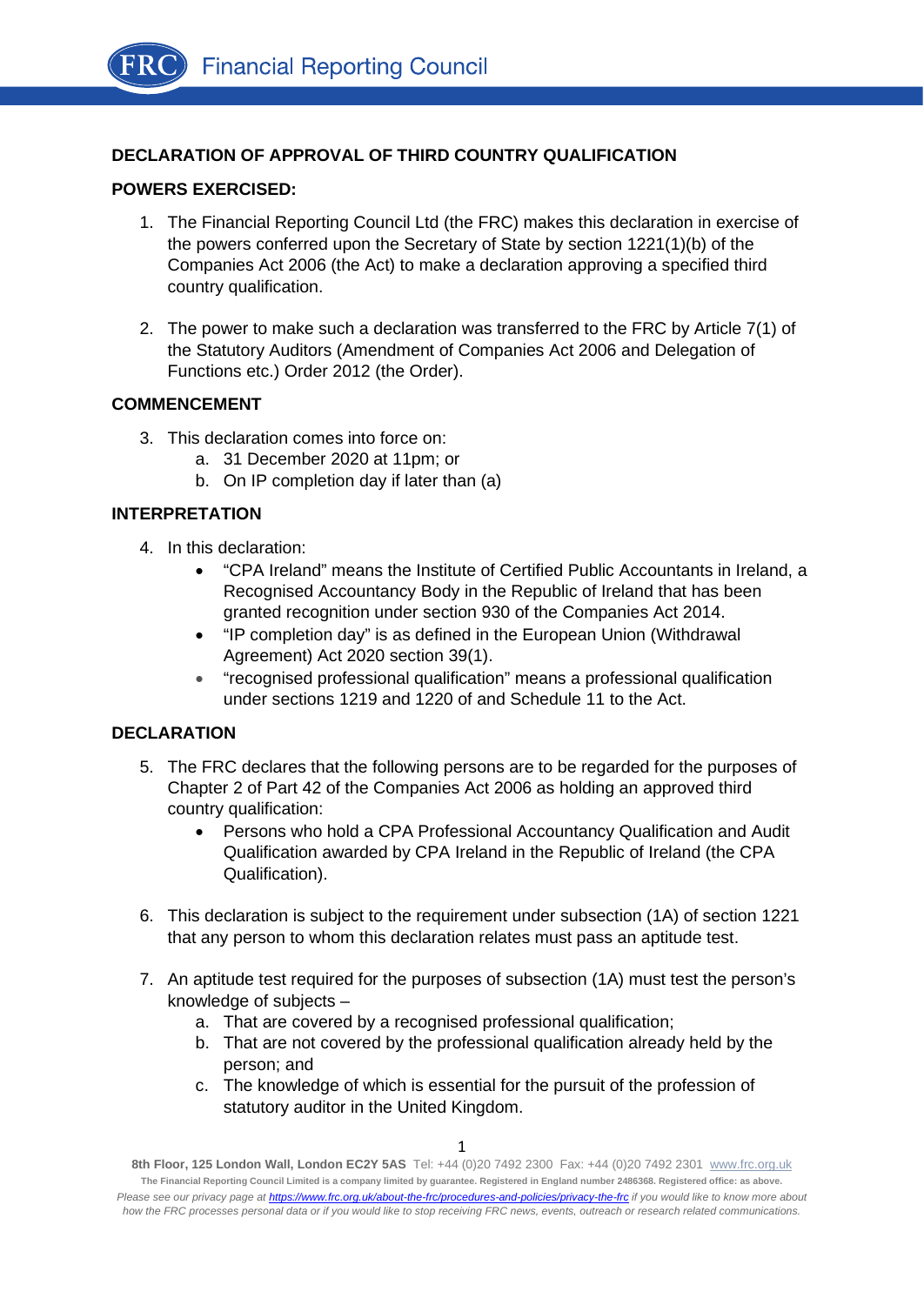# **DECLARATION OF APPROVAL OF THIRD COUNTRY QUALIFICATION**

### **POWERS EXERCISED:**

- 1. The Financial Reporting Council Ltd (the FRC) makes this declaration in exercise of the powers conferred upon the Secretary of State by section 1221(1)(b) of the Companies Act 2006 (the Act) to make a declaration approving a specified third country qualification.
- 2. The power to make such a declaration was transferred to the FRC by Article 7(1) of the Statutory Auditors (Amendment of Companies Act 2006 and Delegation of Functions etc.) Order 2012 (the Order).

#### **COMMENCEMENT**

- 3. This declaration comes into force on:
	- a. 31 December 2020 at 11pm; or
	- b. On IP completion day if later than (a)

## **INTERPRETATION**

- 4. In this declaration:
	- "CPA Ireland" means the Institute of Certified Public Accountants in Ireland, a Recognised Accountancy Body in the Republic of Ireland that has been granted recognition under section 930 of the Companies Act 2014.
	- "IP completion day" is as defined in the European Union (Withdrawal Agreement) Act 2020 section 39(1).
	- "recognised professional qualification" means a professional qualification under sections 1219 and 1220 of and Schedule 11 to the Act.

## **DECLARATION**

- 5. The FRC declares that the following persons are to be regarded for the purposes of Chapter 2 of Part 42 of the Companies Act 2006 as holding an approved third country qualification:
	- Persons who hold a CPA Professional Accountancy Qualification and Audit Qualification awarded by CPA Ireland in the Republic of Ireland (the CPA Qualification).
- 6. This declaration is subject to the requirement under subsection (1A) of section 1221 that any person to whom this declaration relates must pass an aptitude test.
- 7. An aptitude test required for the purposes of subsection (1A) must test the person's knowledge of subjects –
	- a. That are covered by a recognised professional qualification;
	- b. That are not covered by the professional qualification already held by the person; and
	- c. The knowledge of which is essential for the pursuit of the profession of statutory auditor in the United Kingdom.

**<sup>8</sup>th Floor, 125 London Wall, London EC2Y 5AS** Tel: +44 (0)20 7492 2300 Fax: +44 (0)20 7492 2301 [www.frc.org.uk](http://www.frc.org.uk/) **The Financial Reporting Council Limited is a company limited by guarantee. Registered in England number 2486368. Registered office: as above.**  *Please see our privacy page a[t https://www.frc.org.uk/about-the-frc/procedures-and-policies/privacy-the-frc](https://protect-eu.mimecast.com/s/meSwCVPQETYrOJIgd9IO) if you would like to know more about how the FRC processes personal data or if you would like to stop receiving FRC news, events, outreach or research related communications.*